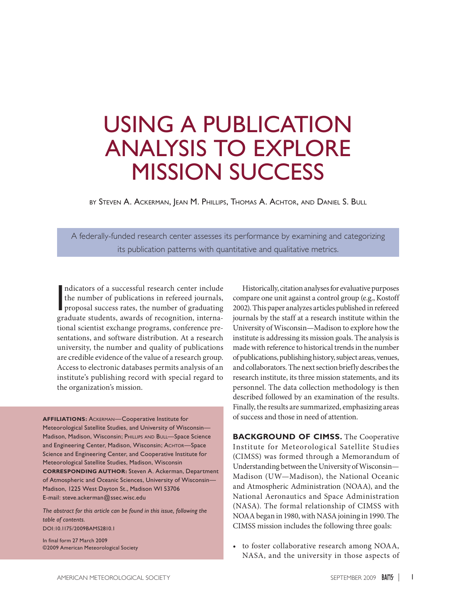## USING A PUBLICATION ANALYSIS TO EXPLORE MISSION SUCCESS

by Steven A. Ackerman, Jean M. Phillips, Thomas A. Achtor, and Daniel S. Bull

A federally-funded research center assesses its performance by examining and categorizing its publication patterns with quantitative and qualitative metrics.

 $\overline{\phantom{a}}$ ndicators of a successful research center include the number of publications in refereed journals, proposal success rates, the number of graduating graduate students, awards of recognition, international scientist exchange programs, conference presentations, and software distribution. At a research university, the number and quality of publications are credible evidence of the value of a research group. Access to electronic databases permits analysis of an institute's publishing record with special regard to the organization's mission.

**AFFILIATIONS:** Ackerman—Cooperative Institute for Meteorological Satellite Studies, and University of Wisconsin— Madison, Madison, Wisconsin; PHILLIPS AND BULL-Space Science and Engineering Center, Madison, Wisconsin; ACHTOR-Space Science and Engineering Center, and Cooperative Institute for Meteorological Satellite Studies, Madison, Wisconsin **CORRESPONDING AUTHOR:** Steven A. Ackerman, Department of Atmospheric and Oceanic Sciences, University of Wisconsin— Madison, 1225 West Dayton St., Madison WI 53706 E-mail: steve.ackerman@ssec.wisc.edu

*The abstract for this article can be found in this issue, following the table of contents.* [DOI:10.1175/2009BAMS2810.1](http://dx.doi.org/10.1175/2009BAMS2810.1)

In final form 27 March 2009 ©2009 American Meteorological Society

Historically, citation analyses for evaluative purposes compare one unit against a control group (e.g., Kostoff 2002). This paper analyzes articles published in refereed journals by the staff at a research institute within the University of Wisconsin—Madison to explore how the institute is addressing its mission goals. The analysis is made with reference to historical trends in the number of publications, publishing history, subject areas, venues, and collaborators. The next section briefly describes the research institute, its three mission statements, and its personnel. The data collection methodology is then described followed by an examination of the results. Finally, the results are summarized, emphasizing areas of success and those in need of attention.

**BACKGROUND OF CIMSS.** The Cooperative Institute for Meteorological Satellite Studies (CIMSS) was formed through a Memorandum of Understanding between the University of Wisconsin— Madison (UW—Madison), the National Oceanic and Atmospheric Administration (NOAA), and the National Aeronautics and Space Administration (NASA). The formal relationship of CIMSS with NOAA began in 1980, with NASA joining in 1990. The CIMSS mission includes the following three goals:

• to foster collaborative research among NOAA, NASA, and the university in those aspects of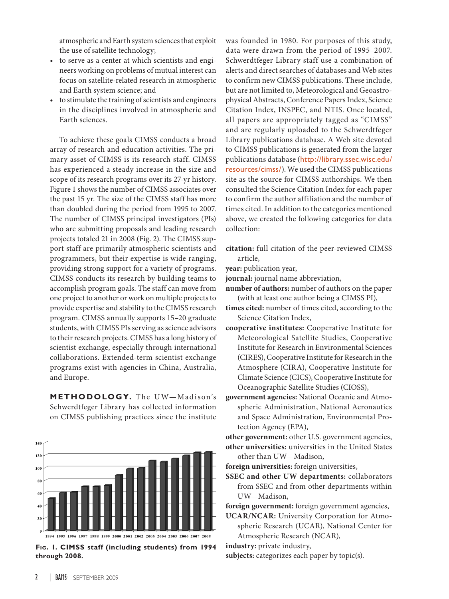atmospheric and Earth system sciences that exploit the use of satellite technology;

- • to serve as a center at which scientists and engineers working on problems of mutual interest can focus on satellite-related research in atmospheric and Earth system science; and
- to stimulate the training of scientists and engineers in the disciplines involved in atmospheric and Earth sciences.

To achieve these goals CIMSS conducts a broad array of research and education activities. The primary asset of CIMSS is its research staff. CIMSS has experienced a steady increase in the size and scope of its research programs over its 27-yr history. Figure 1 shows the number of CIMSS associates over the past 15 yr. The size of the CIMSS staff has more than doubled during the period from 1995 to 2007. The number of CIMSS principal investigators (PIs) who are submitting proposals and leading research projects totaled 21 in 2008 (Fig. 2). The CIMSS support staff are primarily atmospheric scientists and programmers, but their expertise is wide ranging, providing strong support for a variety of programs. CIMSS conducts its research by building teams to accomplish program goals. The staff can move from one project to another or work on multiple projects to provide expertise and stability to the CIMSS research program. CIMSS annually supports 15–20 graduate students, with CIMSS PIs serving as science advisors to their research projects. CIMSS has a long history of scientist exchange, especially through international collaborations. Extended-term scientist exchange programs exist with agencies in China, Australia, and Europe.

METHODOLOGY. The UW-Madison's Schwerdtfeger Library has collected information on CIMSS publishing practices since the institute



**Fig. 1. CIMSS staff (including students) from 1994 through 2008.**

was founded in 1980. For purposes of this study, data were drawn from the period of 1995–2007. Schwerdtfeger Library staff use a combination of alerts and direct searches of databases and Web sites to confirm new CIMSS publications. These include, but are not limited to, Meteorological and Geoastrophysical Abstracts, Conference Papers Index, Science Citation Index, INSPEC, and NTIS. Once located, all papers are appropriately tagged as "CIMSS" and are regularly uploaded to the Schwerdtfeger Library publications database. A Web site devoted to CIMSS publications is generated from the larger publications database (http://library.ssec.wisc.edu/ resources/cimss/). We used the CIMSS publications site as the source for CIMSS authorships. We then consulted the Science Citation Index for each paper to confirm the author affiliation and the number of times cited. In addition to the categories mentioned above, we created the following categories for data collection:

- **citation:** full citation of the peer-reviewed CIMSS article,
- **year:** publication year,
- **journal:** journal name abbreviation,
- **number of authors:** number of authors on the paper (with at least one author being a CIMSS PI),
- **times cited:** number of times cited, according to the Science Citation Index,
- **cooperative institutes:** Cooperative Institute for Meteorological Satellite Studies, Cooperative Institute for Research in Environmental Sciences (CIRES), Cooperative Institute for Research in the Atmosphere (CIRA), Cooperative Institute for Climate Science (CICS), Cooperative Institute for Oceanographic Satellite Studies (CIOSS),
- **government agencies:** National Oceanic and Atmospheric Administration, National Aeronautics and Space Administration, Environmental Protection Agency (EPA),

**other government:** other U.S. government agencies, **other universities:** universities in the United States other than UW—Madison,

**foreign universities:** foreign universities,

- **SSEC and other UW departments:** collaborators from SSEC and from other departments within UW—Madison,
- **foreign government:** foreign government agencies,
- **UCAR/NCAR:** University Corporation for Atmospheric Research (UCAR), National Center for Atmospheric Research (NCAR),

**industry:** private industry,

**subjects:** categorizes each paper by topic(s).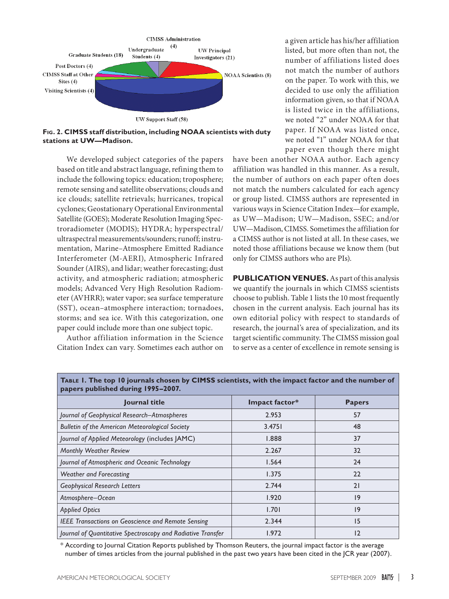

**Fig. 2. CIMSS staff distribution, including NOAA scientists with duty stations at UW—Madison.**

We developed subject categories of the papers based on title and abstract language, refining them to include the following topics: education; troposphere; remote sensing and satellite observations; clouds and ice clouds; satellite retrievals; hurricanes, tropical cyclones; Geostationary Operational Environmental Satellite (GOES); Moderate Resolution Imaging Spectroradiometer (MODIS); HYDRA; hyperspectral/ ultraspectral measurements/sounders; runoff; instrumentation, Marine–Atmosphere Emitted Radiance Interferometer (M-AERI), Atmospheric Infrared Sounder (AIRS), and lidar; weather forecasting; dust activity, and atmospheric radiation; atmospheric models; Advanced Very High Resolution Radiometer (AVHRR); water vapor; sea surface temperature (SST), ocean–atmosphere interaction; tornadoes, storms; and sea ice. With this categorization, one paper could include more than one subject topic.

Author affiliation information in the Science Citation Index can vary. Sometimes each author on a given article has his/her affiliation listed, but more often than not, the number of affiliations listed does not match the number of authors on the paper. To work with this, we decided to use only the affiliation information given, so that if NOAA is listed twice in the affiliations, we noted "2" under NOAA for that paper. If NOAA was listed once, we noted "1" under NOAA for that paper even though there might

have been another NOAA author. Each agency affiliation was handled in this manner. As a result, the number of authors on each paper often does not match the numbers calculated for each agency or group listed. CIMSS authors are represented in various ways in Science Citation Index—for example, as UW—Madison; UW—Madison, SSEC; and/or UW—Madison, CIMSS. Sometimes the affiliation for a CIMSS author is not listed at all. In these cases, we noted those affiliations because we know them (but only for CIMSS authors who are PIs).

**PUBLICATION VENUES.**As part of this analysis we quantify the journals in which CIMSS scientists choose to publish. Table 1 lists the 10 most frequently chosen in the current analysis. Each journal has its own editorial policy with respect to standards of research, the journal's area of specialization, and its target scientific community. The CIMSS mission goal to serve as a center of excellence in remote sensing is

| Journal title                                               | Impact factor* | <b>Papers</b> |
|-------------------------------------------------------------|----------------|---------------|
| Journal of Geophysical Research-Atmospheres                 | 2.953          | 57            |
| <b>Bulletin of the American Meteorological Society</b>      | 3.4751         | 48            |
| Journal of Applied Meteorology (includes JAMC)              | 1.888          | 37            |
| <b>Monthly Weather Review</b>                               | 2.267          | 32            |
| Journal of Atmospheric and Oceanic Technology               | 1.564          | 24            |
| <b>Weather and Forecasting</b>                              | 1.375          | 22            |
| <b>Geophysical Research Letters</b>                         | 2.744          | 21            |
| Atmosphere-Ocean                                            | 1.920          | 9             |
| <b>Applied Optics</b>                                       | 1.701          | 9             |
| <b>IEEE Transactions on Geoscience and Remote Sensing</b>   | 2.344          | 15            |
| Journal of Quantitative Spectroscopy and Radiative Transfer | 1.972          | 12            |

**Table 1. The top 10 journals chosen by CIMSS scientists, with the impact factor and the number of papers published during 1995–2007.**

\* According to Journal Citation Reports published by Thomson Reuters, the journal impact factor is the average number of times articles from the journal published in the past two years have been cited in the JCR year (2007).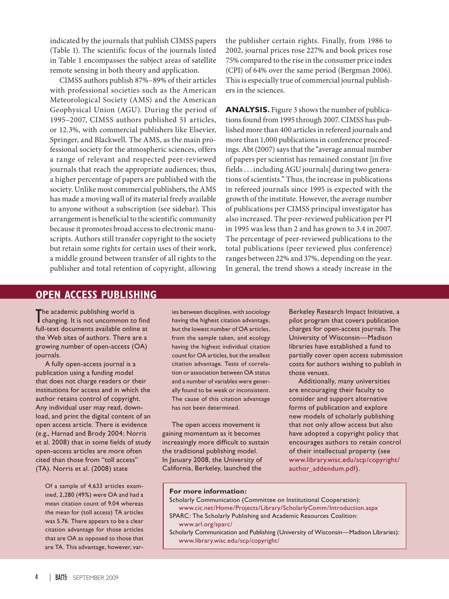indicated by the journals that publish CIMSS papers (Table 1). The scientific focus of the journals listed in Table 1 encompasses the subject areas of satellite remote sensing in both theory and application.

CIMSS authors publish 87%–89% of their articles with professional societies such as the American Meteorological Society (AMS) and the American Geophysical Union (AGU). During the period of 1995–2007, CIMSS authors published 51 articles, or 12.3%, with commercial publishers like Elsevier, Springer, and Blackwell. The AMS, as the main professional society for the atmospheric sciences, offers a range of relevant and respected peer-reviewed journals that reach the appropriate audiences; thus, a higher percentage of papers are published with the society. Unlike most commercial publishers, the AMS has made a moving wall of its material freely available to anyone without a subscription (see sidebar). This arrangement is beneficial to the scientific community because it promotes broad access to electronic manuscripts. Authors still transfer copyright to the society but retain some rights for certain uses of their work, a middle ground between transfer of all rights to the publisher and total retention of copyright, allowing

the publisher certain rights. Finally, from 1986 to 2002, journal prices rose 227% and book prices rose 75% compared to the rise in the consumer price index (CPI) of 64% over the same period (Bergman 2006). This is especially true of commercial journal publishers in the sciences.

**ANALYSIS.** Figure 3 shows the number of publications found from 1995 through 2007. CIMSS has published more than 400 articles in refereed journals and more than 1,000 publications in conference proceedings. Abt (2007) says that the "average annual number of papers per scientist has remained constant [in five fields . . . including AGU journals] during two generations of scientists." Thus, the increase in publications in refereed journals since 1995 is expected with the growth of the institute. However, the average number of publications per CIMSS principal investigator has also increased. The peer-reviewed publication per PI in 1995 was less than 2 and has grown to 3.4 in 2007. The percentage of peer-reviewed publications to the total publications (peer reviewed plus conference) ranges between 22% and 37%, depending on the year. In general, the trend shows a steady increase in the

## **OPEN ACCESS PUBLISHING**

The academic publishing world is<br>the anging. It is not uncommon to changing. It is not uncommon to find full-text documents available online at the Web sites of authors. There are a growing number of open-access (OA) journals.

A fully open-access journal is a publication using a funding model that does not charge readers or their institutions for access and in which the author retains control of copyright. Any individual user may read, download, and print the digital content of an open access article. There is evidence (e.g., Harnad and Brody 2004; Norris et al. 2008) that in some fields of study open-access articles are more often cited than those from "toll access" (TA). Norris et al. (2008) state

Of a sample of 4,633 articles examined, 2,280 (49%) were OA and had a mean citation count of 9.04 whereas the mean for (toll access) TA articles was 5.76. There appears to be a clear citation advantage for those articles that are OA as opposed to those that are TA. This advantage, however, var-

ies between disciplines, with sociology having the highest citation advantage, but the lowest number of OA articles, from the sample taken, and ecology having the highest individual citation count for OA articles, but the smallest citation advantage. Tests of correlation or association between OA status and a number of variables were generally found to be weak or inconsistent. The cause of this citation advantage has not been determined.

The open access movement is gaining momentum as it becomes increasingly more difficult to sustain the traditional publishing model. In January 2008, the University of California, Berkeley, launched the

Berkeley Research Impact Initiative, a pilot program that covers publication charges for open-access journals. The University of Wisconsin—Madison libraries have established a fund to partially cover open access submission costs for authors wishing to publish in those venues.

Additionally, many universities are encouraging their faculty to consider and support alternative forms of publication and explore new models of scholarly publishing that not only allow access but also have adopted a copyright policy that encourages authors to retain control of their intellectual property (see www.library.wisc.edu/scp/copyright/ author\_addendum.pdf).

## **For more information:**

- Scholarly Communication (Committee on Institutional Cooperation): www.cic.net/Home/Projects/Library/ScholarlyComm/Introduction.aspx SPARC: The Scholarly Publishing and Academic Resources Coalition:
- www.arl.org/sparc/
- Scholarly Communication and Publishing (University of Wisconsin—Madison Libraries): www.library.wisc.edu/scp/copyright/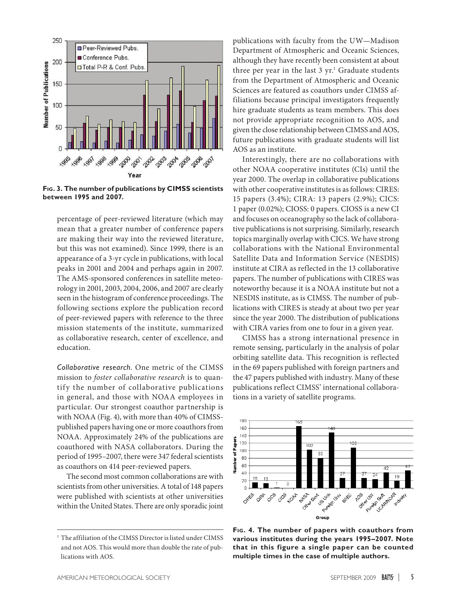

**Fig. 3. The number of publications by CIMSS scientists between 1995 and 2007.**

percentage of peer-reviewed literature (which may mean that a greater number of conference papers are making their way into the reviewed literature, but this was not examined). Since 1999, there is an appearance of a 3-yr cycle in publications, with local peaks in 2001 and 2004 and perhaps again in 2007. The AMS-sponsored conferences in satellite meteorology in 2001, 2003, 2004, 2006, and 2007 are clearly seen in the histogram of conference proceedings. The following sections explore the publication record of peer-reviewed papers with reference to the three mission statements of the institute, summarized as collaborative research, center of excellence, and education.

*Collaborative research.* One metric of the CIMSS mission to *foster collaborative research* is to quantify the number of collaborative publications in general, and those with NOAA employees in particular. Our strongest coauthor partnership is with NOAA (Fig. 4), with more than 40% of CIMSSpublished papers having one or more coauthors from NOAA. Approximately 24% of the publications are coauthored with NASA collaborators. During the period of 1995–2007, there were 347 federal scientists as coauthors on 414 peer-reviewed papers.

The second most common collaborations are with scientists from other universities. A total of 148 papers were published with scientists at other universities within the United States. There are only sporadic joint

<sup>1</sup> The affiliation of the CIMSS Director is listed under CIMSS and not AOS. This would more than double the rate of publications with AOS.

publications with faculty from the UW—Madison Department of Atmospheric and Oceanic Sciences, although they have recently been consistent at about three per year in the last 3 yr.<sup>1</sup> Graduate students from the Department of Atmospheric and Oceanic Sciences are featured as coauthors under CIMSS affiliations because principal investigators frequently hire graduate students as team members. This does not provide appropriate recognition to AOS, and given the close relationship between CIMSS and AOS, future publications with graduate students will list AOS as an institute.

Interestingly, there are no collaborations with other NOAA cooperative institutes (CIs) until the year 2000. The overlap in collaborative publications with other cooperative institutes is as follows: CIRES: 15 papers (3.4%); CIRA: 13 papers (2.9%); CICS: 1 paper (0.02%); CIOSS: 0 papers. CIOSS is a new CI and focuses on oceanography so the lack of collaborative publications is not surprising. Similarly, research topics marginally overlap with CICS. We have strong collaborations with the National Environmental Satellite Data and Information Service (NESDIS) institute at CIRA as reflected in the 13 collaborative papers. The number of publications with CIRES was noteworthy because it is a NOAA institute but not a NESDIS institute, as is CIMSS. The number of publications with CIRES is steady at about two per year since the year 2000. The distribution of publications with CIRA varies from one to four in a given year.

CIMSS has a strong international presence in remote sensing, particularly in the analysis of polar orbiting satellite data. This recognition is reflected in the 69 papers published with foreign partners and the 47 papers published with industry. Many of these publications reflect CIMSS' international collaborations in a variety of satellite programs.



**Fig. 4. The number of papers with coauthors from various institutes during the years 1995–2007. Note that in this figure a single paper can be counted multiple times in the case of multiple authors.**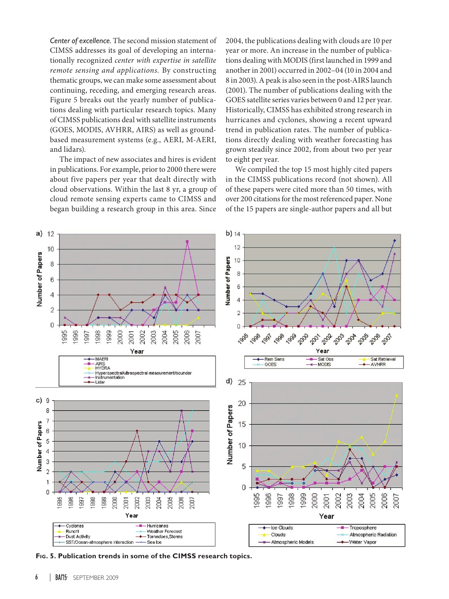*Center of excellence.* The second mission statement of CIMSS addresses its goal of developing an internationally recognized *center with expertise in satellite remote sensing and applications.* By constructing thematic groups, we can make some assessment about continuing, receding, and emerging research areas. Figure 5 breaks out the yearly number of publications dealing with particular research topics. Many of CIMSS publications deal with satellite instruments (GOES, MODIS, AVHRR, AIRS) as well as groundbased measurement systems (e.g., AERI, M-AERI, and lidars).

The impact of new associates and hires is evident in publications. For example, prior to 2000 there were about five papers per year that dealt directly with cloud observations. Within the last 8 yr, a group of cloud remote sensing experts came to CIMSS and began building a research group in this area. Since 2004, the publications dealing with clouds are 10 per year or more. An increase in the number of publications dealing with MODIS (first launched in 1999 and another in 2001) occurred in 2002–04 (10 in 2004 and 8 in 2003). A peak is also seen in the post-AIRS launch (2001). The number of publications dealing with the GOES satellite series varies between 0 and 12 per year. Historically, CIMSS has exhibited strong research in hurricanes and cyclones, showing a recent upward trend in publication rates. The number of publications directly dealing with weather forecasting has grown steadily since 2002, from about two per year to eight per year.

We compiled the top 15 most highly cited papers in the CIMSS publications record (not shown). All of these papers were cited more than 50 times, with over 200 citations for the most referenced paper. None of the 15 papers are single-author papers and all but



**Fig. 5. Publication trends in some of the CIMSS research topics.**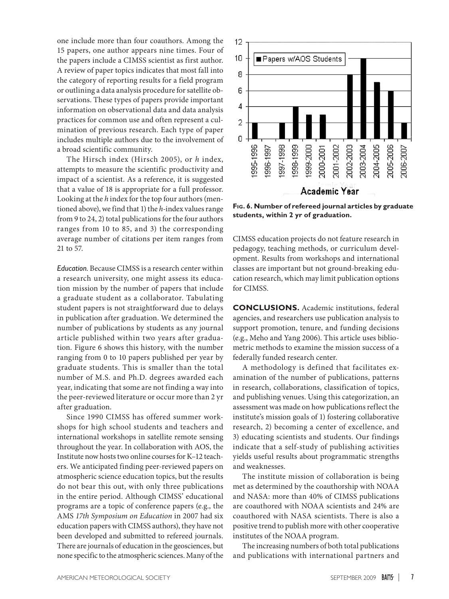one include more than four coauthors. Among the 15 papers, one author appears nine times. Four of the papers include a CIMSS scientist as first author. A review of paper topics indicates that most fall into the category of reporting results for a field program or outlining a data analysis procedure for satellite observations. These types of papers provide important information on observational data and data analysis practices for common use and often represent a culmination of previous research. Each type of paper includes multiple authors due to the involvement of a broad scientific community.

The Hirsch index (Hirsch 2005), or *h* index, attempts to measure the scientific productivity and impact of a scientist. As a reference, it is suggested that a value of 18 is appropriate for a full professor. Looking at the *h* index for the top four authors (mentioned above), we find that 1) the *h*-index values range from 9 to 24, 2) total publications for the four authors ranges from 10 to 85, and 3) the corresponding average number of citations per item ranges from 21 to 57.

*Education.* Because CIMSS is a research center within a research university, one might assess its education mission by the number of papers that include a graduate student as a collaborator. Tabulating student papers is not straightforward due to delays in publication after graduation. We determined the number of publications by students as any journal article published within two years after graduation. Figure 6 shows this history, with the number ranging from 0 to 10 papers published per year by graduate students. This is smaller than the total number of M.S. and Ph.D. degrees awarded each year, indicating that some are not finding a way into the peer-reviewed literature or occur more than 2 yr after graduation.

Since 1990 CIMSS has offered summer workshops for high school students and teachers and international workshops in satellite remote sensing throughout the year. In collaboration with AOS, the Institute now hosts two online courses for K–12 teachers. We anticipated finding peer-reviewed papers on atmospheric science education topics, but the results do not bear this out, with only three publications in the entire period. Although CIMSS' educational programs are a topic of conference papers (e.g., the AMS *17th Symposium on Education* in 2007 had six education papers with CIMSS authors), they have not been developed and submitted to refereed journals. There are journals of education in the geosciences, but none specific to the atmospheric sciences. Many of the



**Fig. 6. Number of refereed journal articles by graduate students, within 2 yr of graduation.**

CIMSS education projects do not feature research in pedagogy, teaching methods, or curriculum development. Results from workshops and international classes are important but not ground-breaking education research, which may limit publication options for CIMSS.

**CONCLUSIONS.** Academic institutions, federal agencies, and researchers use publication analysis to support promotion, tenure, and funding decisions (e.g., Meho and Yang 2006). This article uses bibliometric methods to examine the mission success of a federally funded research center.

A methodology is defined that facilitates examination of the number of publications, patterns in research, collaborations, classification of topics, and publishing venues. Using this categorization, an assessment was made on how publications reflect the institute's mission goals of 1) fostering collaborative research, 2) becoming a center of excellence, and 3) educating scientists and students. Our findings indicate that a self-study of publishing activities yields useful results about programmatic strengths and weaknesses.

The institute mission of collaboration is being met as determined by the coauthorship with NOAA and NASA: more than 40% of CIMSS publications are coauthored with NOAA scientists and 24% are coauthored with NASA scientists. There is also a positive trend to publish more with other cooperative institutes of the NOAA program.

The increasing numbers of both total publications and publications with international partners and